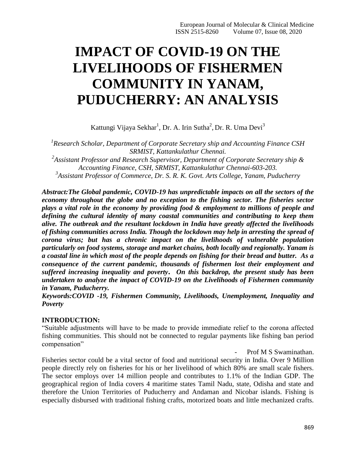# **IMPACT OF COVID-19 ON THE LIVELIHOODS OF FISHERMEN COMMUNITY IN YANAM, PUDUCHERRY: AN ANALYSIS**

Kattungi Vijaya Sekhar<sup>1</sup>, Dr. A. Irin Sutha<sup>2</sup>, Dr. R. Uma Devi<sup>3</sup>

*1 Research Scholar, Department of Corporate Secretary ship and Accounting Finance CSH SRMIST, Kattankulathur Chennai.*

*2 Assistant Professor and Research Supervisor, Department of Corporate Secretary ship & Accounting Finance, CSH, SRMIST, Kattankulathur Chennai-603-203. 3 Assistant Professor of Commerce, Dr. S. R. K. Govt. Arts College, Yanam, Puducherry*

*Abstract:The Global pandemic, COVID-19 has unpredictable impacts on all the sectors of the economy throughout the globe and no exception to the fishing sector. The fisheries sector plays a vital role in the economy by providing food & employment to millions of people and defining the cultural identity of many coastal communities and contributing to keep them alive. The outbreak and the resultant lockdown in India have greatly affected the livelihoods of fishing communities across India. Though the lockdown may help in arresting the spread of corona virus; but has a chronic impact on the livelihoods of vulnerable population particularly on food systems, storage and market chains, both locally and regionally. Yanam is a coastal line in which most of the people depends on fishing for their bread and butter. As a consequence of the current pandemic, thousands of fishermen lost their employment and suffered increasing inequality and poverty. On this backdrop, the present study has been undertaken to analyze the impact of COVID-19 on the Livelihoods of Fishermen community in Yanam, Puducherry.*

*Keywords:COVID -19, Fishermen Community, Livelihoods, Unemployment, Inequality and Poverty*

## **INTRODUCTION:**

"Suitable adjustments will have to be made to provide immediate relief to the corona affected fishing communities. This should not be connected to regular payments like fishing ban period compensation"

Prof M S Swaminathan.

Fisheries sector could be a vital sector of food and nutritional security in India. Over 9 Million people directly rely on fisheries for his or her livelihood of which 80% are small scale fishers. The sector employs over 14 million people and contributes to 1.1% of the Indian GDP. The geographical region of India covers 4 maritime states Tamil Nadu, state, Odisha and state and therefore the Union Territories of Puducherry and Andaman and Nicobar islands. Fishing is especially disbursed with traditional fishing crafts, motorized boats and little mechanized crafts.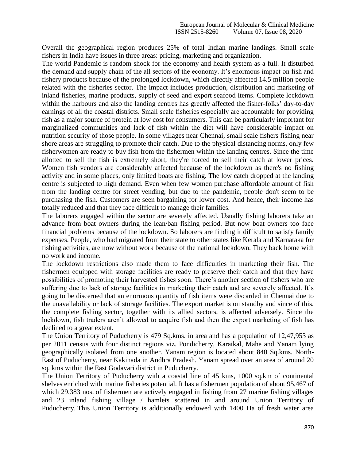Overall the geographical region produces 25% of total Indian marine landings. Small scale fishers in India have issues in three areas: pricing, marketing and organization.

The world Pandemic is random shock for the economy and health system as a full. It disturbed the demand and supply chain of the all sectors of the economy. It's enormous impact on fish and fishery products because of the prolonged lockdown, which directly affected 14.5 million people related with the fisheries sector. The impact includes production, distribution and marketing of inland fisheries, marine products, supply of seed and export seafood items. Complete lockdown within the harbours and also the landing centres has greatly affected the fisher-folks' day-to-day earnings of all the coastal districts. Small scale fisheries especially are accountable for providing fish as a major source of protein at low cost for consumers. This can be particularly important for marginalized communities and lack of fish within the diet will have considerable impact on nutrition security of those people. In some villages near Chennai, small scale fishers fishing near shore areas are struggling to promote their catch. Due to the physical distancing norms, only few fisherwomen are ready to buy fish from the fishermen within the landing centres. Since the time allotted to sell the fish is extremely short, they're forced to sell their catch at lower prices. Women fish vendors are considerably affected because of the lockdown as there's no fishing activity and in some places, only limited boats are fishing. The low catch dropped at the landing centre is subjected to high demand. Even when few women purchase affordable amount of fish from the landing centre for street vending, but due to the pandemic, people don't seem to be purchasing the fish. Customers are seen bargaining for lower cost. And hence, their income has totally reduced and that they face difficult to manage their families.

The laborers engaged within the sector are severely affected. Usually fishing laborers take an advance from boat owners during the lean/ban fishing period. But now boat owners too face financial problems because of the lockdown. So laborers are finding it difficult to satisfy family expenses. People, who had migrated from their state to other states like Kerala and Karnataka for fishing activities, are now without work because of the national lockdown. They back home with no work and income.

The lockdown restrictions also made them to face difficulties in marketing their fish. The fishermen equipped with storage facilities are ready to preserve their catch and that they have possibilities of promoting their harvested fishes soon. There"s another section of fishers who are suffering due to lack of storage facilities in marketing their catch and are severely affected. It's going to be discerned that an enormous quantity of fish items were discarded in Chennai due to the unavailability or lack of storage facilities. The export market is on standby and since of this, the complete fishing sector, together with its allied sectors, is affected adversely. Since the lockdown, fish traders aren't allowed to acquire fish and then the export marketing of fish has declined to a great extent.

The Union Territory of Puducherry is 479 Sq.kms. in area and has a population of 12,47,953 as per 2011 census with four distinct regions viz. Pondicherry, Karaikal, Mahe and Yanam lying geographically isolated from one another. Yanam region is located about 840 Sq.kms. North-East of Puducherry, near Kakinada in Andhra Pradesh. Yanam spread over an area of around 20 sq. kms within the East Godavari district in Puducherry.

The Union Territory of Puducherry with a coastal line of 45 kms, 1000 sq.km of continental shelves enriched with marine fisheries potential. It has a fishermen population of about 95,467 of which 29,383 nos. of fishermen are actively engaged in fishing from 27 marine fishing villages and 23 inland fishing village / hamlets scattered in and around Union Territory of Puducherry. This Union Territory is additionally endowed with 1400 Ha of fresh water area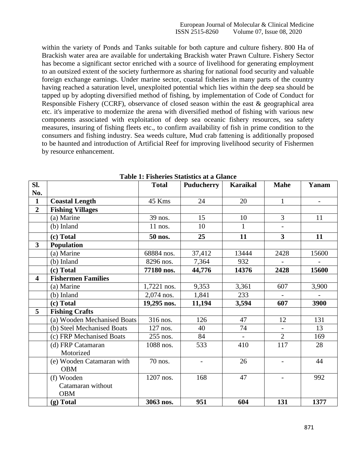within the variety of Ponds and Tanks suitable for both capture and culture fishery. 800 Ha of Brackish water area are available for undertaking Brackish water Prawn Culture. Fishery Sector has become a significant sector enriched with a source of livelihood for generating employment to an outsized extent of the society furthermore as sharing for national food security and valuable foreign exchange earnings. Under marine sector, coastal fisheries in many parts of the country having reached a saturation level, unexploited potential which lies within the deep sea should be tapped up by adopting diversified method of fishing, by implementation of Code of Conduct for Responsible Fishery (CCRF), observance of closed season within the east & geographical area etc. it's imperative to modernize the arena with diversified method of fishing with various new components associated with exploitation of deep sea oceanic fishery resources, sea safety measures, insuring of fishing fleets etc., to confirm availability of fish in prime condition to the consumers and fishing industry. Sea weeds culture, Mud crab fattening is additionally proposed to be haunted and introduction of Artificial Reef for improving livelihood security of Fishermen by resource enhancement.

| Sl.                     |                             | <b>Total</b> | <b>Puducherry</b> | <b>Karaikal</b> | <b>Mahe</b>              | Yanam             |
|-------------------------|-----------------------------|--------------|-------------------|-----------------|--------------------------|-------------------|
| No.                     |                             |              |                   |                 |                          |                   |
| $\mathbf{1}$            | <b>Coastal Length</b>       | 45 Kms       | 24                | 20              | $\mathbf{1}$             | $\qquad \qquad -$ |
| $\overline{2}$          | <b>Fishing Villages</b>     |              |                   |                 |                          |                   |
|                         | (a) Marine                  | 39 nos.      | 15                | 10              | 3                        | 11                |
|                         | (b) Inland                  | $11$ nos.    | 10                | 1               |                          |                   |
|                         | (c) Total                   | 50 nos.      | 25                | 11              | $\overline{\mathbf{3}}$  | 11                |
| 3                       | <b>Population</b>           |              |                   |                 |                          |                   |
|                         | (a) Marine                  | 68884 nos.   | 37,412            | 13444           | 2428                     | 15600             |
|                         | (b) Inland                  | 8296 nos.    | 7,364             | 932             |                          |                   |
|                         | (c) Total                   | 77180 nos.   | 44,776            | 14376           | 2428                     | 15600             |
| $\overline{\mathbf{4}}$ | <b>Fishermen Families</b>   |              |                   |                 |                          |                   |
|                         | (a) Marine                  | 1,7221 nos.  | 9,353             | 3,361           | 607                      | 3,900             |
|                         | (b) Inland                  | 2,074 nos.   | 1,841             | 233             |                          |                   |
|                         | (c) Total                   | 19,295 nos.  | 11,194            | 3,594           | 607                      | 3900              |
| 5                       | <b>Fishing Crafts</b>       |              |                   |                 |                          |                   |
|                         | (a) Wooden Mechanised Boats | 316 nos.     | 126               | 47              | 12                       | 131               |
|                         | (b) Steel Mechanised Boats  | 127 nos.     | 40                | 74              |                          | 13                |
|                         | (c) FRP Mechanised Boats    | 255 nos.     | 84                |                 | $\overline{2}$           | 169               |
|                         | (d) FRP Catamaran           | 1088 nos.    | 533               | 410             | 117                      | 28                |
|                         | Motorized                   |              |                   |                 |                          |                   |
|                         | (e) Wooden Catamaran with   | 70 nos.      |                   | 26              | $\overline{\phantom{0}}$ | 44                |
|                         | <b>OBM</b>                  |              |                   |                 |                          |                   |
|                         | (f) Wooden                  | 1207 nos.    | 168               | 47              | $\overline{\phantom{0}}$ | 992               |
|                         | Catamaran without           |              |                   |                 |                          |                   |
|                         | <b>OBM</b>                  |              |                   |                 |                          |                   |
|                         | $(g)$ Total                 | 3063 nos.    | 951               | 604             | 131                      | 1377              |

**Table 1: Fisheries Statistics at a Glance**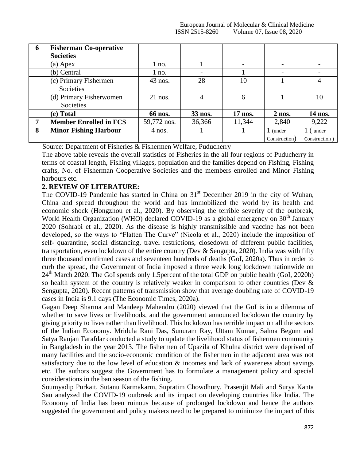| 6 | <b>Fisherman Co-operative</b> |             |                |         |               |               |
|---|-------------------------------|-------------|----------------|---------|---------------|---------------|
|   | <b>Societies</b>              |             |                |         |               |               |
|   | $(a)$ Apex                    | 1 no.       |                |         |               |               |
|   | (b) Central                   | no.         |                |         |               |               |
|   | (c) Primary Fishermen         | $43$ nos.   | 28             | 10      |               | 4             |
|   | Societies                     |             |                |         |               |               |
|   | (d) Primary Fisherwomen       | $21$ nos.   | $\overline{4}$ | 6       |               | 10            |
|   | Societies                     |             |                |         |               |               |
|   | (e) Total                     | 66 nos.     | 33 nos.        | 17 nos. | $2$ nos.      | 14 nos.       |
| 7 | <b>Member Enrolled in FCS</b> | 59,772 nos. | 36,366         | 11,344  | 2,840         | 9,222         |
| 8 | <b>Minor Fishing Harbour</b>  | $4$ nos.    |                |         | 1 (under      | 1 (under      |
|   |                               |             |                |         | Construction) | Construction) |

Source: Department of Fisheries & Fishermen Welfare, Puducherry

The above table reveals the overall statistics of Fisheries in the all four regions of Puducherry in terms of coastal length, Fishing villages, population and the families depend on Fishing, Fishing crafts, No. of Fisherman Cooperative Societies and the members enrolled and Minor Fishing harbours etc.

# **2. REVIEW OF LITERATURE:**

The COVID-19 Pandemic has started in China on  $31<sup>st</sup>$  December 2019 in the city of Wuhan, China and spread throughout the world and has immobilized the world by its health and economic shock (Hongzhou et al., 2020). By observing the terrible severity of the outbreak, World Health Organization (WHO) declared COVID-19 as a global emergency on  $30<sup>th</sup>$  January 2020 (Sohrabi et al., 2020). As the disease is highly transmissible and vaccine has not been developed, so the ways to "Flatten The Curve" (Nicola et al., 2020) include the imposition of self- quarantine, social distancing, travel restrictions, closedown of different public facilities, transportation, even lockdown of the entire country (Dev & Sengupta, 2020). India was with fifty three thousand confirmed cases and seventeen hundreds of deaths (GoI, 2020a). Thus in order to curb the spread, the Government of India imposed a three week long lockdown nationwide on 24<sup>th</sup> March 2020. The GoI spends only 1.5percent of the total GDP on public health (GoI, 2020b) so health system of the country is relatively weaker in comparison to other countries (Dev & Sengupta, 2020). Recent patterns of transmission show that average doubling rate of COVID-19 cases in India is 9.1 days (The Economic Times, 2020a).

Gagan Deep Sharma and Mandeep Mahendru (2020) viewed that the GoI is in a dilemma of whether to save lives or livelihoods, and the government announced lockdown the country by giving priority to lives rather than livelihood. This lockdown has terrible impact on all the sectors of the Indian Economy. Mridula Rani Das, Sunuram Ray, Uttam Kumar, Salma Begum and Satya Ranjan Tarafdar conducted a study to update the livelihood status of fishermen community in Bangladesh in the year 2013. The fishermen of Upazila of Khulna district were deprived of many facilities and the socio-economic condition of the fishermen in the adjacent area was not satisfactory due to the low level of education & incomes and lack of awareness about savings etc. The authors suggest the Government has to formulate a management policy and special considerations in the ban season of the fishing.

Soumyadip Purkait, Sutanu Karmakarm, Supratim Chowdhury, Prasenjit Mali and Surya Kanta Sau analyzed the COVID-19 outbreak and its impact on developing countries like India. The Economy of India has been ruinous because of prolonged lockdown and hence the authors suggested the government and policy makers need to be prepared to minimize the impact of this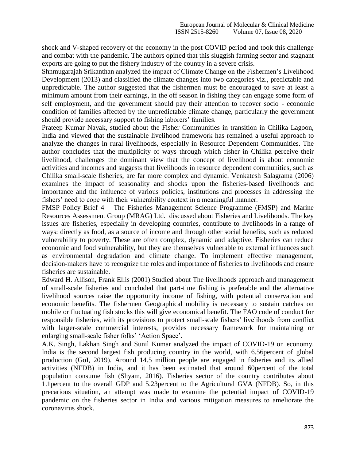shock and V-shaped recovery of the economy in the post COVID period and took this challenge and combat with the pandemic. The authors opined that this sluggish farming sector and stagnant exports are going to put the fishery industry of the country in a severe crisis.

Shnmugarajah Srikanthan analyzed the impact of Climate Change on the Fishermen"s Livelihood Development (2013) and classified the climate changes into two categories viz., predictable and unpredictable. The author suggested that the fishermen must be encouraged to save at least a minimum amount from their earnings, in the off season in fishing they can engage some form of self employment, and the government should pay their attention to recover socio - economic condition of families affected by the unpredictable climate change, particularly the government should provide necessary support to fishing laborers' families.

Prateep Kumar Nayak, studied about the Fisher Communities in transition in Chilika Lagoon, India and viewed that the sustainable livelihood framework has remained a useful approach to analyze the changes in rural livelihoods, especially in Resource Dependent Communities. The author concludes that the multiplicity of ways through which fisher in Chilika perceive their livelihood, challenges the dominant view that the concept of livelihood is about economic activities and incomes and suggests that livelihoods in resource dependent communities, such as Chilika small-scale fisheries, are far more complex and dynamic. Venkatesh Salagrama (2006) examines the impact of seasonality and shocks upon the fisheries-based livelihoods and importance and the influence of various policies, institutions and processes in addressing the fishers' need to cope with their vulnerability context in a meaningful manner.

FMSP Policy Brief 4 – The Fisheries Management Science Programme (FMSP) and Marine Resources Assessment Group (MRAG) Ltd. discussed about Fisheries and Livelihoods. The key issues are fisheries, especially in developing countries, contribute to livelihoods in a range of ways: directly as food, as a source of income and through other social benefits, such as reduced vulnerability to poverty. These are often complex, dynamic and adaptive. Fisheries can reduce economic and food vulnerability, but they are themselves vulnerable to external influences such as environmental degradation and climate change. To implement effective management, decision-makers have to recognize the roles and importance of fisheries to livelihoods and ensure fisheries are sustainable.

Edward H. Allison, Frank Ellis (2001) Studied about The livelihoods approach and management of small-scale fisheries and concluded that part-time fishing is preferable and the alternative livelihood sources raise the opportunity income of fishing, with potential conservation and economic benefits. The fishermen Geographical mobility is necessary to sustain catches on mobile or fluctuating fish stocks this will give economical benefit. The FAO code of conduct for responsible fisheries, with its provisions to protect small-scale fishers' livelihoods from conflict with larger-scale commercial interests, provides necessary framework for maintaining or enlarging small-scale fisher folks' 'Action Space'.

A.K. Singh, Lakhan Singh and Sunil Kumar analyzed the impact of COVID-19 on economy. India is the second largest fish producing country in the world, with 6.56percent of global production (GoI, 2019). Around 14.5 million people are engaged in fisheries and its allied activities (NFDB) in India, and it has been estimated that around 60percent of the total population consume fish (Shyam, 2016). Fisheries sector of the country contributes about 1.1percent to the overall GDP and 5.23percent to the Agricultural GVA (NFDB). So, in this precarious situation, an attempt was made to examine the potential impact of COVID-19 pandemic on the fisheries sector in India and various mitigation measures to ameliorate the coronavirus shock.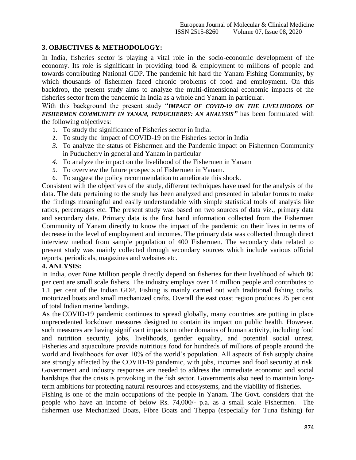## **3. OBJECTIVES & METHODOLOGY:**

In India, fisheries sector is playing a vital role in the socio-economic development of the economy. Its role is significant in providing food & employment to millions of people and towards contributing National GDP. The pandemic hit hard the Yanam Fishing Community, by which thousands of fishermen faced chronic problems of food and employment. On this backdrop, the present study aims to analyze the multi-dimensional economic impacts of the fisheries sector from the pandemic In India as a whole and Yanam in particular.

With this background the present study "*IMPACT OF COVID-19 ON THE LIVELIHOODS OF FISHERMEN COMMUNITY IN YANAM, PUDUCHERRY: AN ANALYSIS"* has been formulated with the following objectives:

- 1. To study the significance of Fisheries sector in India.
- 2. To study the impact of COVID-19 on the Fisheries sector in India
- *3.* To analyze the status of Fishermen and the Pandemic impact on Fishermen Community in Puducherry in general and Yanam in particular
- *4.* To analyze the impact on the livelihood of the Fishermen in Yanam
- 5. To overview the future prospects of Fishermen in Yanam.
- 6. To suggest the policy recommendation to ameliorate this shock.

Consistent with the objectives of the study, different techniques have used for the analysis of the data. The data pertaining to the study has been analyzed and presented in tabular forms to make the findings meaningful and easily understandable with simple statistical tools of analysis like ratios, percentages etc. The present study was based on two sources of data viz., primary data and secondary data. Primary data is the first hand information collected from the Fishermen Community of Yanam directly to know the impact of the pandemic on their lives in terms of decrease in the level of employment and incomes. The primary data was collected through direct interview method from sample population of 400 Fishermen. The secondary data related to present study was mainly collected through secondary sources which include various official reports, periodicals, magazines and websites etc.

## **4. ANLYSIS:**

In India, over Nine Million people directly depend on fisheries for their livelihood of which 80 per cent are small scale fishers. The industry employs over 14 million people and contributes to 1.1 per cent of the Indian GDP. Fishing is mainly carried out with traditional fishing crafts, motorized boats and small mechanized crafts. Overall the east coast region produces 25 per cent of total Indian marine landings.

As the COVID-19 pandemic continues to spread globally, many countries are putting in place unprecedented lockdown measures designed to contain its impact on public health. However, such measures are having significant impacts on other domains of human activity, including food and nutrition security, jobs, livelihoods, gender equality, and potential social unrest. Fisheries and aquaculture provide nutritious food for hundreds of millions of people around the world and livelihoods for over 10% of the world's population. All aspects of fish supply chains are strongly affected by the COVID-19 pandemic, with jobs, incomes and food security at risk. Government and industry responses are needed to address the immediate economic and social hardships that the crisis is provoking in the fish sector. Governments also need to maintain longterm ambitions for protecting natural resources and ecosystems, and the viability of fisheries.

Fishing is one of the main occupations of the people in Yanam. The Govt. considers that the people who have an income of below Rs. 74,000/- p.a. as a small scale Fishermen. The fishermen use Mechanized Boats, Fibre Boats and Theppa (especially for Tuna fishing) for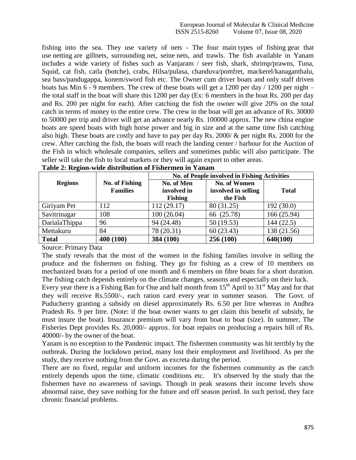#### European Journal of Molecular & Clinical Medicine ISSN 2515-8260 Volume 07, Issue 08, 2020

fishing into the sea. They use variety of nets - The four main types of fishing gear that use netting are gillnets, surrounding net, seine nets, and trawls. The fish available in Yanam includes a wide variety of fishes such as Vanjaram / seer fish, shark, shrimp/prawns, Tuna, Squid, cat fish, catla (botche), crabs, Hilsa/pulasa, chanduva/pomfret, mackerel/kanaganthalu, sea bass/pandugappa, konem/sword fish etc. The Owner cum driver boats and only staff driven boats has Min  $6 - 9$  members. The crew of these boats will get a 1200 per day / 1200 per night – the total staff in the boat will share this 1200 per day (Ex: 6 members in the boat Rs. 200 per day and Rs. 200 per night for each). After catching the fish the owner will give 20% on the total catch in terms of money to the entire crew. The crew in the boat will get an advance of Rs. 30000 to 50000 per trip and driver will get an advance nearly Rs. 100000 approx. The new china engine boats are speed boats with high horse power and big in size and at the same time fish catching also high. These boats are costly and have to pay per day Rs. 2000/ & per night Rs. 2000 for the crew. After catching the fish, the boats will reach the landing center / harbour for the Auction of the Fish in which wholesale companies, sellers and sometimes public will also participate. The seller will take the fish to local markets or they will again export to other areas.

| ັ              |                       | No. of People involved in Fishing Activities |                     |              |  |
|----------------|-----------------------|----------------------------------------------|---------------------|--------------|--|
| <b>Regions</b> | <b>No. of Fishing</b> | <b>No. of Women</b><br>No. of Men            |                     |              |  |
|                | <b>Families</b>       | involved in                                  | involved in selling | <b>Total</b> |  |
|                |                       | <b>Fishing</b>                               | the Fish            |              |  |
| Giriyam Pet    | 112                   | 112 (29.17)                                  | 80 (31.25)          | 192(30.0)    |  |
| Savitrinagar   | 108                   | 100(26.04)                                   | 66 (25.78)          | 166 (25.94)  |  |
| DarialaThippa  | 96                    | 94 (24.48)                                   | 50(19.53)           | 144 (22.5)   |  |
| Mettakuru      | 84                    | 78 (20.31)                                   | 60(23.43)           | 138 (21.56)  |  |
| <b>Total</b>   | 400 (100)             | 384 (100)                                    | 256 (100)           | 640(100)     |  |

Source: Primary Data

The study reveals that the most of the women in the fishing families involve in selling the produce and the fishermen on fishing. They go for fishing as a crew of 10 members on mechanized boats for a period of one month and 6 members on fibre boats for a short duration. The fishing catch depends entirely on the climate changes, seasons and especially on their luck.

Every year there is a Fishing Ban for One and half month from  $15<sup>th</sup>$  April to  $31<sup>st</sup>$  May and for that they will receive Rs.5500/-, each ration card every year in summer season. The Govt. of Puducherry granting a subsidy on diesel approximately Rs. 6.50 per litre whereas in Andhra Pradesh Rs. 9 per litre. (Note: if the boat owner wants to get claim this benefit of subsidy, he must insure the boat). Insurance premium will vary from boat to boat (size). In summer, The Fisheries Dept provides Rs. 20,000/- approx. for boat repairs on producing a repairs bill of Rs. 40000/- by the owner of the boat.

Yanam is no exception to the Pandemic impact. The fishermen community was hit terribly by the outbreak. During the lockdown period, many lost their employment and livelihood. As per the study, they receive nothing from the Govt. as excreta during the period.

There are no fixed, regular and uniform incomes for the fishermen community as the catch entirely depends upon the time, climatic conditions etc. It's observed by the study that the fishermen have no awareness of savings. Though in peak seasons their income levels show abnormal raise, they save nothing for the future and off season period. In such period, they face chronic financial problems.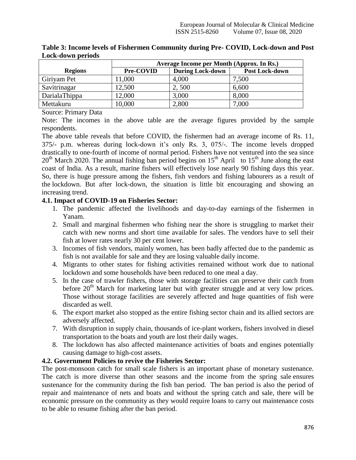|                | Average Income per Month (Approx. In Rs.) |                         |                       |  |
|----------------|-------------------------------------------|-------------------------|-----------------------|--|
| <b>Regions</b> | Pre-COVID                                 | <b>During Lock-down</b> | <b>Post Lock-down</b> |  |
| Giriyam Pet    | 11,000                                    | 4,000                   | 7,500                 |  |
| Savitrinagar   | 12,500                                    | 2,500                   | 6,600                 |  |
| DarialaThippa  | 12,000                                    | 3,000                   | 8,000                 |  |
| Mettakuru      | 10,000                                    | 2,800                   | 7,000                 |  |

**Table 3: Income levels of Fishermen Community during Pre- COVID, Lock-down and Post Lock-down periods**

Source: Primary Data

Note: The incomes in the above table are the average figures provided by the sample respondents.

The above table reveals that before COVID, the fishermen had an average income of Rs. 11, 375/- p.m. whereas during lock-down it"s only Rs. 3, 075/-. The income levels dropped drastically to one-fourth of income of normal period. Fishers have not ventured into the sea since  $20<sup>th</sup>$  March 2020. The annual fishing ban period begins on 15<sup>th</sup> April to 15<sup>th</sup> June along the east coast of India. As a result, marine fishers will effectively lose nearly 90 fishing days this year. So, there is huge pressure among the fishers, fish vendors and fishing labourers as a result of the lockdown. But after lock-down, the situation is little bit encouraging and showing an increasing trend.

## **4.1. Impact of COVID-19 on Fisheries Sector:**

- 1. The pandemic affected the livelihoods and day-to-day earnings of the fishermen in Yanam.
- 2. Small and marginal fishermen who fishing near the shore is struggling to market their catch with new norms and short time available for sales. The vendors have to sell their fish at lower rates nearly 30 per cent lower.
- 3. Incomes of fish vendors, mainly women, has been badly affected due to the pandemic as fish is not available for sale and they are losing valuable daily income.
- 4. Migrants to other states for fishing activities remained without work due to national lockdown and some households have been reduced to one meal a day.
- 5. In the case of trawler fishers, those with storage facilities can preserve their catch from before  $20<sup>th</sup>$  March for marketing later but with greater struggle and at very low prices. Those without storage facilities are severely affected and huge quantities of fish were discarded as well.
- 6. The export market also stopped as the entire fishing sector chain and its allied sectors are adversely affected.
- 7. With disruption in supply chain, thousands of ice-plant workers, fishers involved in diesel transportation to the boats and youth are lost their daily wages.
- 8. The lockdown has also affected maintenance activities of boats and engines potentially causing damage to high-cost assets.

## **4.2. Government Policies to revive the Fisheries Sector:**

The post-monsoon catch for small scale fishers is an important phase of monetary sustenance. The catch is more diverse than other seasons and the income from the spring sale ensures sustenance for the community during the fish ban period. The ban period is also the period of repair and maintenance of nets and boats and without the spring catch and sale, there will be economic pressure on the community as they would require loans to carry out maintenance costs to be able to resume fishing after the ban period.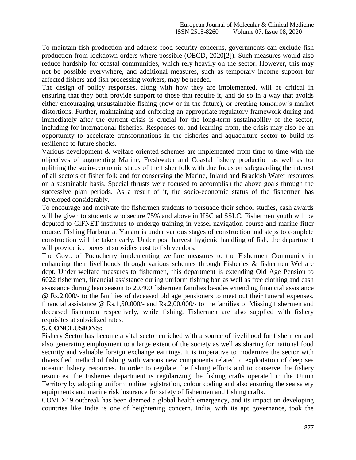To maintain fish production and address food security concerns, governments can exclude fish production from lockdown orders where possible (OECD, 2020[2]). Such measures would also reduce hardship for coastal communities, which rely heavily on the sector. However, this may not be possible everywhere, and additional measures, such as temporary income support for affected fishers and fish processing workers, may be needed.

The design of policy responses, along with how they are implemented, will be critical in ensuring that they both provide support to those that require it, and do so in a way that avoids either encouraging unsustainable fishing (now or in the future), or creating tomorrow"s market distortions. Further, maintaining and enforcing an appropriate regulatory framework during and immediately after the current crisis is crucial for the long-term sustainability of the sector, including for international fisheries. Responses to, and learning from, the crisis may also be an opportunity to accelerate transformations in the fisheries and aquaculture sector to build its resilience to future shocks.

Various development & welfare oriented schemes are implemented from time to time with the objectives of augmenting Marine, Freshwater and Coastal fishery production as well as for uplifting the socio-economic status of the fisher folk with due focus on safeguarding the interest of all sectors of fisher folk and for conserving the Marine, Inland and Brackish Water resources on a sustainable basis. Special thrusts were focused to accomplish the above goals through the successive plan periods. As a result of it, the socio-economic status of the fishermen has developed considerably.

To encourage and motivate the fishermen students to persuade their school studies, cash awards will be given to students who secure 75% and above in HSC ad SSLC. Fishermen youth will be deputed to CIFNET institutes to undergo training in vessel navigation course and marine fitter course. Fishing Harbour at Yanam is under various stages of construction and steps to complete construction will be taken early. Under post harvest hygienic handling of fish, the department will provide ice boxes at subsidies cost to fish vendors.

The Govt. of Puducherry implementing welfare measures to the Fishermen Community in enhancing their livelihoods through various schemes through Fisheries & fishermen Welfare dept. Under welfare measures to fishermen, this department is extending Old Age Pension to 6022 fishermen, financial assistance during uniform fishing ban as well as free clothing and cash assistance during lean season to 20,400 fishermen families besides extending financial assistance @ Rs.2,000/- to the families of deceased old age pensioners to meet out their funeral expenses, financial assistance @ Rs.1,50,000/- and Rs.2,00,000/- to the families of Missing fishermen and deceased fishermen respectively, while fishing. Fishermen are also supplied with fishery requisites at subsidized rates.

## **5. CONCLUSIONS:**

Fishery Sector has become a vital sector enriched with a source of livelihood for fishermen and also generating employment to a large extent of the society as well as sharing for national food security and valuable foreign exchange earnings. It is imperative to modernize the sector with diversified method of fishing with various new components related to exploitation of deep sea oceanic fishery resources. In order to regulate the fishing efforts and to conserve the fishery resources, the Fisheries department is regularizing the fishing crafts operated in the Union Territory by adopting uniform online registration, colour coding and also ensuring the sea safety equipments and marine risk insurance for safety of fishermen and fishing crafts.

COVID-19 outbreak has been deemed a global health emergency, and its impact on developing countries like India is one of heightening concern. India, with its apt governance, took the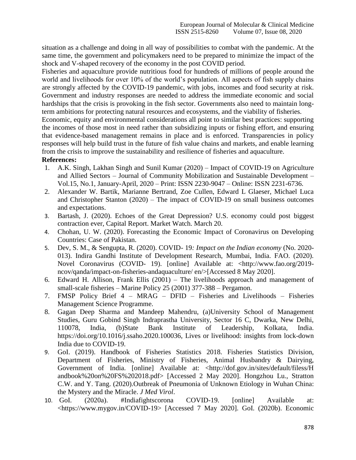situation as a challenge and doing in all way of possibilities to combat with the pandemic. At the same time, the government and policymakers need to be prepared to minimize the impact of the shock and V-shaped recovery of the economy in the post COVID period.

Fisheries and aquaculture provide nutritious food for hundreds of millions of people around the world and livelihoods for over 10% of the world's population. All aspects of fish supply chains are strongly affected by the COVID-19 pandemic, with jobs, incomes and food security at risk. Government and industry responses are needed to address the immediate economic and social hardships that the crisis is provoking in the fish sector. Governments also need to maintain longterm ambitions for protecting natural resources and ecosystems, and the viability of fisheries.

Economic, equity and environmental considerations all point to similar best practices: supporting the incomes of those most in need rather than subsidizing inputs or fishing effort, and ensuring that evidence-based management remains in place and is enforced. Transparencies in policy responses will help build trust in the future of fish value chains and markets, and enable learning from the crisis to improve the sustainability and resilience of fisheries and aquaculture.

## **References:**

- 1. A.K. Singh, Lakhan Singh and Sunil Kumar (2020) Impact of COVID-19 on Agriculture and Allied Sectors – Journal of Community Mobilization and Sustainable Development – Vol.15, No.1, January-April, 2020 – Print: ISSN 2230-9047 – Online: ISSN 2231-6736.
- 2. Alexander W. Bartik, Marianne Bertrand, Zoe Cullen, Edward L Glaeser, Michael Luca and Christopher Stanton (2020) – The impact of COVID-19 on small business outcomes and expectations.
- 3. Bartash, J. (2020). Echoes of the Great Depression? U.S. economy could post biggest contraction ever, Capital Report. Market Watch. March 20.
- 4. Chohan, U. W. (2020). Forecasting the Economic Impact of Coronavirus on Developing Countries: Case of Pakistan.
- 5. Dev, S. M., & Sengupta, R. (2020). COVID- 19*: Impact on the Indian economy* (No. 2020- 013). Indira Gandhi Institute of Development Research, Mumbai, India. FAO. (2020). Novel Coronavirus (COVID- 19). [online] Available at: <http://www.fao.org/2019 ncov/qanda/impact-on-fisheries-andaquaculture/ en/>[Accessed 8 May 2020].
- 6. Edward H. Allison, Frank Ellis (2001) The livelihoods approach and management of small-scale fisheries – Marine Policy 25 (2001) 377-388 – Pergamon.
- 7. FMSP Policy Brief 4 MRAG DFID Fisheries and Livelihoods Fisheries Management Science Programme.
- 8. Gagan Deep Sharma and Mandeep Mahendru, (a)University School of Management Studies, Guru Gobind Singh Indraprastha University, Sector 16 C, Dwarka, New Delhi, 110078, India, (b)State Bank Institute of Leadership, Kolkata, India. [https://doi.org/10.1016/j.ssaho.2020.100036,](https://doi.org/10.1016/j.ssaho.2020.100036) Lives or livelihood: insights from lock-down India due to COVID-19.
- 9. GoI. (2019). Handbook of Fisheries Statistics 2018. Fisheries Statistics Division, Department of Fisheries, Ministry of Fisheries, Animal Husbandry & Dairying, Government of India. [online] Available at: <http://dof.gov.in/sites/default/filess/H andbook%20on%20FS%202018.pdf> [Accessed 2 May 2020]. Hongzhou Lu., Stratton C.W. and Y. Tang. (2020).Outbreak of Pneumonia of Unknown Etiology in Wuhan China: the Mystery and the Miracle. *J Med Virol*.
- 10. GoI. (2020a). #Indiafightscorona COVID-19. [online] Available at: <https://www.mygov.in/COVID-19> [Accessed 7 May 2020]. GoI. (2020b). Economic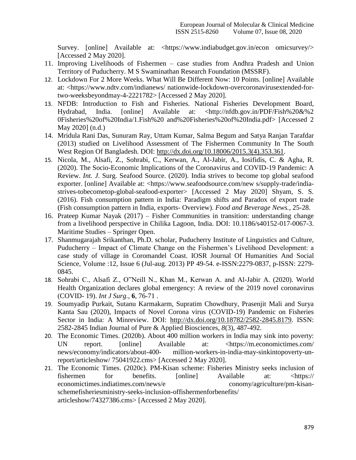Survey. [online] Available at: <https://www.indiabudget.gov.in/econ omicsurvey/> [Accessed 2 May 2020].

- 11. Improving Livelihoods of Fishermen case studies from Andhra Pradesh and Union Territory of Puducherry. M S Swaminathan Research Foundation (MSSRF).
- 12. Lockdown For 2 More Weeks. What Will Be Different Now: 10 Points. [online] Available at: <https://www.ndtv.com/indianews/ nationwide-lockdown-overcoronavirusextended-fortwo-weeksbeyondmay-4-2221782> [Accessed 2 May 2020].
- 13. NFDB: Introduction to Fish and Fisheries. National Fisheries Development Board, Hydrabad, India. [online] Available at: <http://nfdb.gov.in/PDF/Fish%20&%2 0Fisheries%20of%20India/1.Fish%20 and%20Fisheries%20of%20India.pdf> [Accessed 2 May 2020] (n.d.)
- 14. Mridula Rani Das, Sunuram Ray, Uttam Kumar, Salma Begum and Satya Ranjan Tarafdar (2013) studied on Livelihood Assessment of The Fishermen Community In The South West Region Of Bangladesh. DOI: [http://dx.doi.org/10.18006/2015.3\(4\).353.361.](http://dx.doi.org/10.18006/2015.3(4).353.361)
- 15. Nicola, M., Alsafi, Z., Sohrabi, C., Kerwan, A., Al-Jabir, A., Iosifidis, C. & Agha, R. (2020). The Socio-Economic Implications of the Coronavirus and COVID-19 Pandemic: A Review. *Int. J*. Surg. Seafood Source. (2020). India strives to become top global seafood exporter. [online] Available at: <https://www.seafoodsource.com/new s/supply-trade/indiastrives-tobecometop-global-seafood-exporter> [Accessed 2 May 2020] Shyam, S. S. (2016). Fish consumption pattern in India: Paradigm shifts and Paradox of export trade (Fish consumption pattern in India, exports- Overview). *Food and Beverage News.*, 25-28.
- 16. Prateep Kumar Nayak (2017) Fisher Communities in transition: understanding change from a livelihood perspective in Chilika Lagoon, India. DOI: 10.1186/s40152-017-0067-3. Maritime Studies – Springer Open.
- 17. Shanmugarajah Srikanthan, Ph.D. scholar, Puducherry Institute of Linguistics and Culture, Puducherry – Impact of Climate Change on the Fishermen"s Livelihood Development: a case study of village in Coromandel Coast. IOSR Journal Of Humanities And Social Science, Volume :12, Issue 6 (Jul-aug. 2013) PP 49-54. e-ISSN:2279-0837, p-ISSN: 2279- 0845.
- 18. Sohrabi C., Alsafi Z., O"Neill N., Khan M., Kerwan A. and Al-Jabir A. (2020). World Health Organization declares global emergency: A review of the 2019 novel coronavirus (COVID- 19). *Int J Surg*., **6**, 76-71 .
- 19. Soumyadip Purkait, Sutanu Karmakarm, Supratim Chowdhury, Prasenjit Mali and Surya Kanta Sau (2020), Impacts of Novel Corona virus (COVID-19) Pandemic on Fisheries Sector in India: A Minreview. DOI: [http://dx.doi.org/10.18782/2582-2845.8179.](http://dx.doi.org/10.18782/2582-2845.8179) ISSN: 2582-2845 Indian Journal of Pure & Applied Biosciences, *8*(3), 487-492.
- 20. The Economic Times. (2020b). About 400 million workers in India may sink into poverty: UN report. [online] Available at: <https://m.economictimes.com/ news/economy/indicators/about-400- million-workers-in-india-may-sinkintopoverty-unreport/articleshow/ 75041922.cms> [Accessed 2 May 2020].
- 21. The Economic Times. (2020c). PM-Kisan scheme: Fisheries Ministry seeks inclusion of fishermen for benefits. [online] Available at: <https:// economictimes.indiatimes.com/news/e conomy/agriculture/pm-kisanschemefisheriesministry-seeks-inclusion-offishermenforbenefits/ articleshow/74327386.cms> [Accessed 2 May 2020].